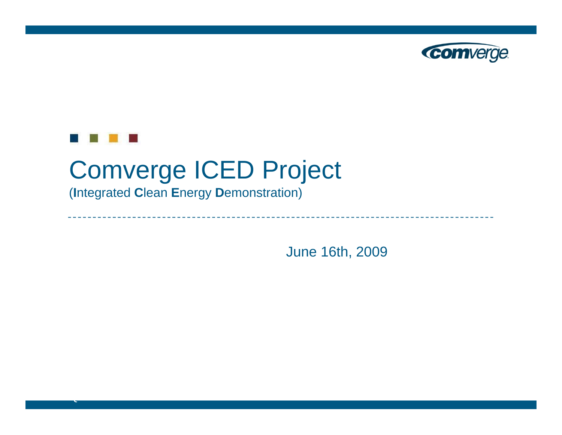



NASDAQ: COMV

# Comverge ICED Project

(**I**ntegrated **C**lean **E**nergy **D**emonstration)

June 16th, 2009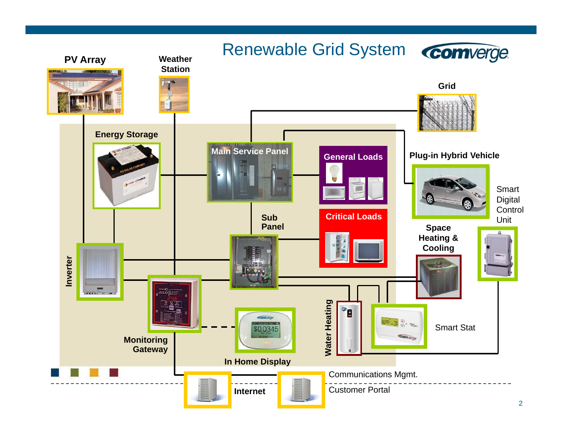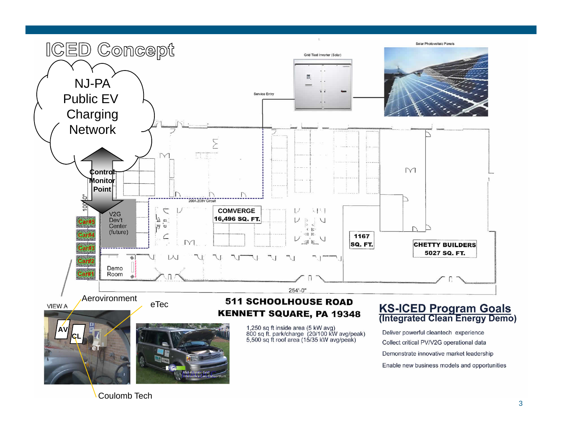

Coulomb Tech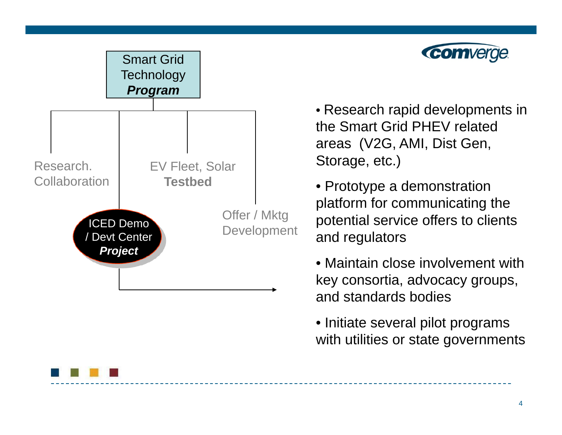



• Research rapid developments in the Smart Grid PHEV related areas (V2G, AMI, Dist Gen, Storage, etc.)

• Prototype a demonstration platform for communicating the potential service offers to clients and regulators

• Maintain close involvement with key consortia, advocacy groups, and standards bodies

• Initiate several pilot programs with utilities or state governments

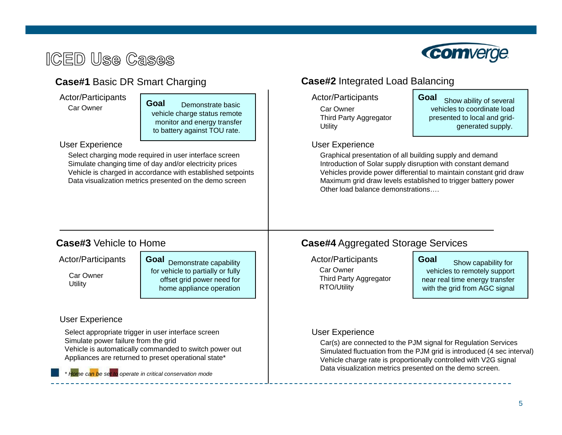# **ICED Use Cases**



## **Case#1 Basic DR Smart Charging**

Car Owner

Demonstrate basic vehicle charge status remote monitor and energy transfer to battery against TOU rate. **Goal**

#### User Experience

Select charging mode required in user interface screen Simulate changing time of day and/or electricity prices Vehicle is charged in accordance with established setpoints Data visualization metrics presented on the demo screen

### **Case#2** Integrated Load Balancing

Actor/Participants **Actor/Participants** Actor/Participants

Car OwnerThird Party Aggregator **Utility** 

**Goal** Show ability of several vehicles to coordinate loadpresented to local and gridgenerated supply.

#### User Experience

Graphical presentation of all building supply and demand Introduction of Solar supply disruption with constant demand Vehicles provide power differential to maintain constant grid draw Maximum grid draw levels established to trigger battery power Other load balance demonstrations….

### **Case#3**

Car Owner**Utility** 

Actor/Participants  $\begin{array}{|c|c|c|c|c|c|}\n\hline\n\end{array}$  Actor/Participants **Goal** Demonstrate capability for vehicle to partially or fully offset grid power need for home appliance operation

#### User Experience

Select appropriate trigger in user interface screen Simulate power failure from the grid Vehicle is automatically commanded to switch power out Appliances are returned to preset operational state\*

*\* Home can be set to operate in critical conservation mode*

## **Case#4** Aggregated Storage Services

Car OwnerThird Party Aggregator RTO/Utility

**Goal** Show capability for vehicles to remotely support near real time energy transfer with the grid from AGC signal

#### User Experience

Car(s) are connected to the PJM signal for Regulation Services Simulated fluctuation from the PJM grid is introduced (4 sec interval) Vehicle charge rate is proportionally controlled with V2G signal Data visualization metrics presented on the demo screen.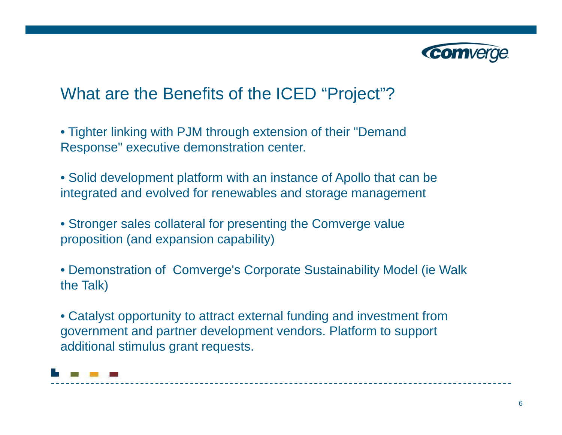

# What are the Benefits of the ICED "Project"?

- Tighter linking with PJM through extension of their "Demand Response" executive demonstration center.
- Solid development platform with an instance of Apollo that can be integrated and evolved for renewables and storage management
- Stronger sales collateral for presenting the Comverge value proposition (and expansion capability)
- Demonstration of Comverge's Corporate Sustainability Model (ie Walk the Talk)
- Catalyst opportunity to attract external funding and investment from government and partner development vendors. Platform to support additional stimulus grant requests.